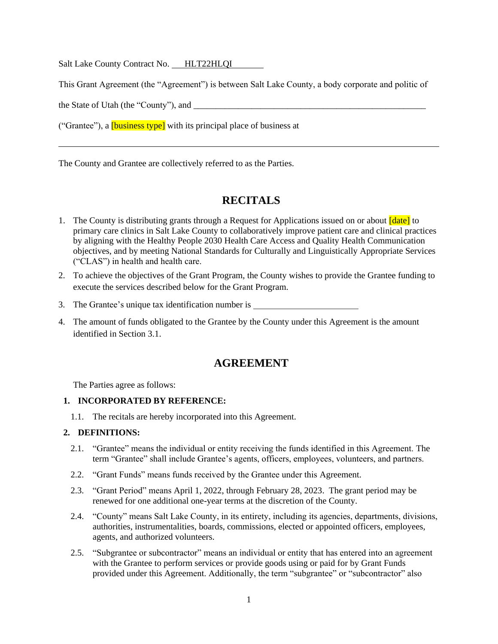Salt Lake County Contract No. HLT22HLQI

This Grant Agreement (the "Agreement") is between Salt Lake County, a body corporate and politic of

the State of Utah (the "County"), and

("Grantee"), a **[business type]** with its principal place of business at

The County and Grantee are collectively referred to as the Parties.

## **RECITALS**

- 1. The County is distributing grants through a Request for Applications issued on or about  $\lceil \frac{\text{date}}{\text{date}} \rceil$  to primary care clinics in Salt Lake County to collaboratively improve patient care and clinical practices by aligning with the Healthy People 2030 Health Care Access and Quality Health Communication objectives, and by meeting National Standards for Culturally and Linguistically Appropriate Services ("CLAS") in health and health care.
- 2. To achieve the objectives of the Grant Program, the County wishes to provide the Grantee funding to execute the services described below for the Grant Program.
- 3. The Grantee's unique tax identification number is
- 4. The amount of funds obligated to the Grantee by the County under this Agreement is the amount identified in Section 3.1.

## **AGREEMENT**

The Parties agree as follows:

#### **1. INCORPORATED BY REFERENCE:**

1.1. The recitals are hereby incorporated into this Agreement.

#### **2. DEFINITIONS:**

- 2.1. "Grantee" means the individual or entity receiving the funds identified in this Agreement. The term "Grantee" shall include Grantee's agents, officers, employees, volunteers, and partners.
- 2.2. "Grant Funds" means funds received by the Grantee under this Agreement.
- 2.3. "Grant Period" means April 1, 2022, through February 28, 2023. The grant period may be renewed for one additional one-year terms at the discretion of the County.
- 2.4. "County" means Salt Lake County, in its entirety, including its agencies, departments, divisions, authorities, instrumentalities, boards, commissions, elected or appointed officers, employees, agents, and authorized volunteers.
- 2.5. "Subgrantee or subcontractor" means an individual or entity that has entered into an agreement with the Grantee to perform services or provide goods using or paid for by Grant Funds provided under this Agreement. Additionally, the term "subgrantee" or "subcontractor" also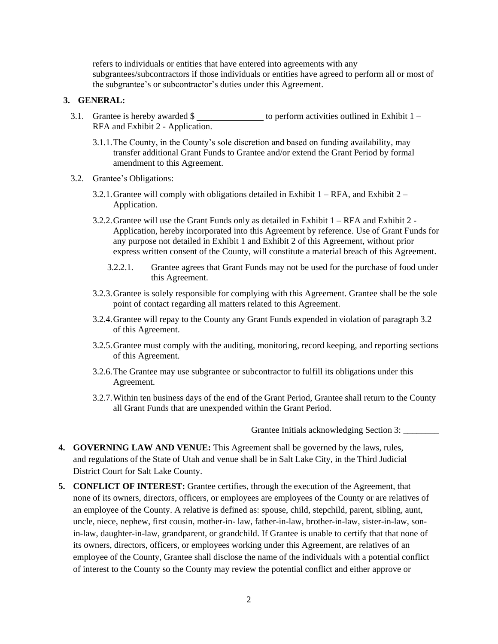refers to individuals or entities that have entered into agreements with any subgrantees/subcontractors if those individuals or entities have agreed to perform all or most of the subgrantee's or subcontractor's duties under this Agreement.

#### **3. GENERAL:**

- 3.1. Grantee is hereby awarded  $\frac{1}{2}$  to perform activities outlined in Exhibit 1 RFA and Exhibit 2 - Application.
	- 3.1.1.The County, in the County's sole discretion and based on funding availability, may transfer additional Grant Funds to Grantee and/or extend the Grant Period by formal amendment to this Agreement.
- 3.2. Grantee's Obligations:
	- 3.2.1. Grantee will comply with obligations detailed in Exhibit  $1 RFA$ , and Exhibit  $2 -$ Application.
	- 3.2.2.Grantee will use the Grant Funds only as detailed in Exhibit 1 RFA and Exhibit 2 Application, hereby incorporated into this Agreement by reference. Use of Grant Funds for any purpose not detailed in Exhibit 1 and Exhibit 2 of this Agreement, without prior express written consent of the County, will constitute a material breach of this Agreement.
		- 3.2.2.1. Grantee agrees that Grant Funds may not be used for the purchase of food under this Agreement.
	- 3.2.3.Grantee is solely responsible for complying with this Agreement. Grantee shall be the sole point of contact regarding all matters related to this Agreement.
	- 3.2.4.Grantee will repay to the County any Grant Funds expended in violation of paragraph 3.2 of this Agreement.
	- 3.2.5.Grantee must comply with the auditing, monitoring, record keeping, and reporting sections of this Agreement.
	- 3.2.6.The Grantee may use subgrantee or subcontractor to fulfill its obligations under this Agreement.
	- 3.2.7.Within ten business days of the end of the Grant Period, Grantee shall return to the County all Grant Funds that are unexpended within the Grant Period.

Grantee Initials acknowledging Section 3: \_\_\_\_\_\_\_\_

- **4. GOVERNING LAW AND VENUE:** This Agreement shall be governed by the laws, rules, and regulations of the State of Utah and venue shall be in Salt Lake City, in the Third Judicial District Court for Salt Lake County.
- **5. CONFLICT OF INTEREST:** Grantee certifies, through the execution of the Agreement, that none of its owners, directors, officers, or employees are employees of the County or are relatives of an employee of the County. A relative is defined as: spouse, child, stepchild, parent, sibling, aunt, uncle, niece, nephew, first cousin, mother-in- law, father-in-law, brother-in-law, sister-in-law, sonin-law, daughter-in-law, grandparent, or grandchild. If Grantee is unable to certify that that none of its owners, directors, officers, or employees working under this Agreement, are relatives of an employee of the County, Grantee shall disclose the name of the individuals with a potential conflict of interest to the County so the County may review the potential conflict and either approve or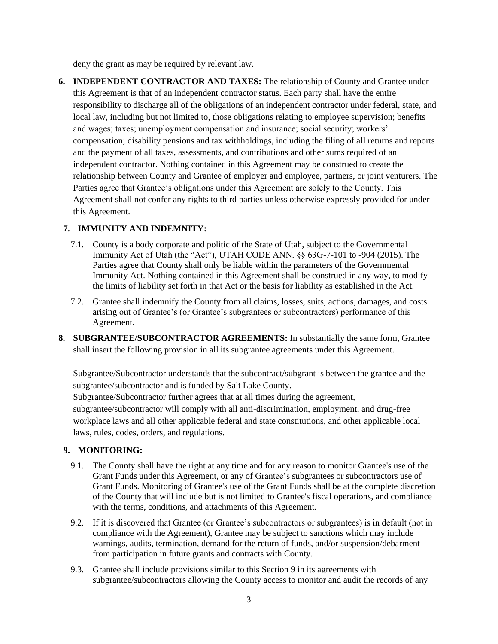deny the grant as may be required by relevant law.

**6. INDEPENDENT CONTRACTOR AND TAXES:** The relationship of County and Grantee under this Agreement is that of an independent contractor status. Each party shall have the entire responsibility to discharge all of the obligations of an independent contractor under federal, state, and local law, including but not limited to, those obligations relating to employee supervision; benefits and wages; taxes; unemployment compensation and insurance; social security; workers' compensation; disability pensions and tax withholdings, including the filing of all returns and reports and the payment of all taxes, assessments, and contributions and other sums required of an independent contractor. Nothing contained in this Agreement may be construed to create the relationship between County and Grantee of employer and employee, partners, or joint venturers. The Parties agree that Grantee's obligations under this Agreement are solely to the County. This Agreement shall not confer any rights to third parties unless otherwise expressly provided for under this Agreement.

## **7. IMMUNITY AND INDEMNITY:**

- 7.1. County is a body corporate and politic of the State of Utah, subject to the Governmental Immunity Act of Utah (the "Act"), UTAH CODE ANN. §§ 63G-7-101 to -904 (2015). The Parties agree that County shall only be liable within the parameters of the Governmental Immunity Act. Nothing contained in this Agreement shall be construed in any way, to modify the limits of liability set forth in that Act or the basis for liability as established in the Act.
- 7.2. Grantee shall indemnify the County from all claims, losses, suits, actions, damages, and costs arising out of Grantee's (or Grantee's subgrantees or subcontractors) performance of this Agreement.
- **8. SUBGRANTEE/SUBCONTRACTOR AGREEMENTS:** In substantially the same form, Grantee shall insert the following provision in all its subgrantee agreements under this Agreement.

Subgrantee/Subcontractor understands that the subcontract/subgrant is between the grantee and the subgrantee/subcontractor and is funded by Salt Lake County.

Subgrantee/Subcontractor further agrees that at all times during the agreement,

subgrantee/subcontractor will comply with all anti-discrimination, employment, and drug-free workplace laws and all other applicable federal and state constitutions, and other applicable local laws, rules, codes, orders, and regulations.

## **9. MONITORING:**

- 9.1. The County shall have the right at any time and for any reason to monitor Grantee's use of the Grant Funds under this Agreement, or any of Grantee's subgrantees or subcontractors use of Grant Funds. Monitoring of Grantee's use of the Grant Funds shall be at the complete discretion of the County that will include but is not limited to Grantee's fiscal operations, and compliance with the terms, conditions, and attachments of this Agreement.
- 9.2. If it is discovered that Grantee (or Grantee's subcontractors or subgrantees) is in default (not in compliance with the Agreement), Grantee may be subject to sanctions which may include warnings, audits, termination, demand for the return of funds, and/or suspension/debarment from participation in future grants and contracts with County.
- 9.3. Grantee shall include provisions similar to this Section 9 in its agreements with subgrantee/subcontractors allowing the County access to monitor and audit the records of any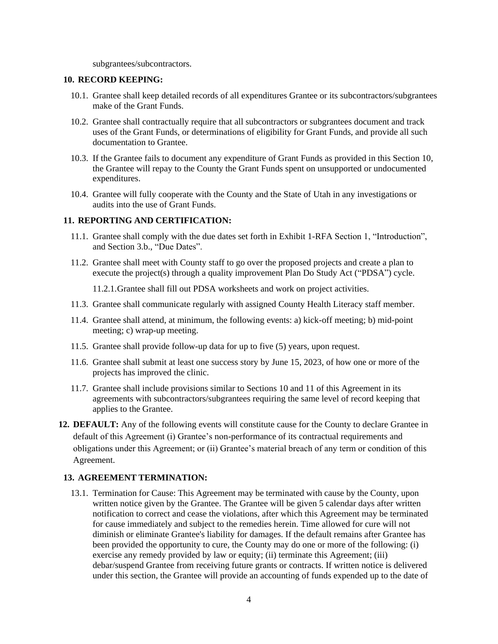subgrantees/subcontractors.

#### **10. RECORD KEEPING:**

- 10.1. Grantee shall keep detailed records of all expenditures Grantee or its subcontractors/subgrantees make of the Grant Funds.
- 10.2. Grantee shall contractually require that all subcontractors or subgrantees document and track uses of the Grant Funds, or determinations of eligibility for Grant Funds, and provide all such documentation to Grantee.
- 10.3. If the Grantee fails to document any expenditure of Grant Funds as provided in this Section 10, the Grantee will repay to the County the Grant Funds spent on unsupported or undocumented expenditures.
- 10.4. Grantee will fully cooperate with the County and the State of Utah in any investigations or audits into the use of Grant Funds.

#### **11. REPORTING AND CERTIFICATION:**

- 11.1. Grantee shall comply with the due dates set forth in Exhibit 1-RFA Section 1, "Introduction", and Section 3.b., "Due Dates".
- 11.2. Grantee shall meet with County staff to go over the proposed projects and create a plan to execute the project(s) through a quality improvement Plan Do Study Act ("PDSA") cycle.

11.2.1.Grantee shall fill out PDSA worksheets and work on project activities.

- 11.3. Grantee shall communicate regularly with assigned County Health Literacy staff member.
- 11.4. Grantee shall attend, at minimum, the following events: a) kick-off meeting; b) mid-point meeting; c) wrap-up meeting.
- 11.5. Grantee shall provide follow-up data for up to five (5) years, upon request.
- 11.6. Grantee shall submit at least one success story by June 15, 2023, of how one or more of the projects has improved the clinic.
- 11.7. Grantee shall include provisions similar to Sections 10 and 11 of this Agreement in its agreements with subcontractors/subgrantees requiring the same level of record keeping that applies to the Grantee.
- **12. DEFAULT:** Any of the following events will constitute cause for the County to declare Grantee in default of this Agreement (i) Grantee's non-performance of its contractual requirements and obligations under this Agreement; or (ii) Grantee's material breach of any term or condition of this Agreement.

#### **13. AGREEMENT TERMINATION:**

13.1. Termination for Cause: This Agreement may be terminated with cause by the County, upon written notice given by the Grantee. The Grantee will be given 5 calendar days after written notification to correct and cease the violations, after which this Agreement may be terminated for cause immediately and subject to the remedies herein. Time allowed for cure will not diminish or eliminate Grantee's liability for damages. If the default remains after Grantee has been provided the opportunity to cure, the County may do one or more of the following: (i) exercise any remedy provided by law or equity; (ii) terminate this Agreement; (iii) debar/suspend Grantee from receiving future grants or contracts. If written notice is delivered under this section, the Grantee will provide an accounting of funds expended up to the date of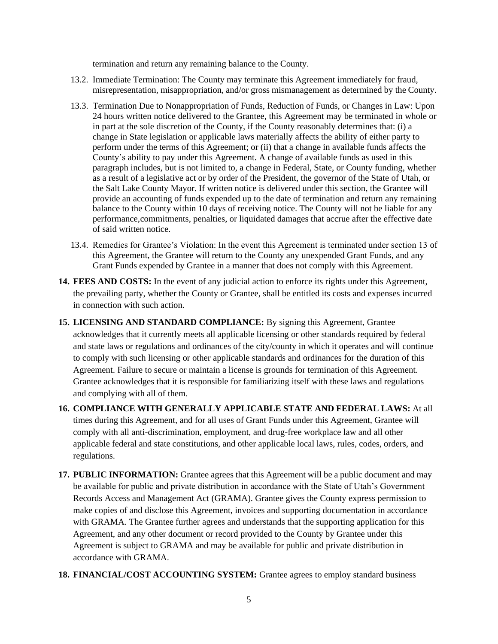termination and return any remaining balance to the County.

- 13.2. Immediate Termination: The County may terminate this Agreement immediately for fraud, misrepresentation, misappropriation, and/or gross mismanagement as determined by the County.
- 13.3. Termination Due to Nonappropriation of Funds, Reduction of Funds, or Changes in Law: Upon 24 hours written notice delivered to the Grantee, this Agreement may be terminated in whole or in part at the sole discretion of the County, if the County reasonably determines that: (i) a change in State legislation or applicable laws materially affects the ability of either party to perform under the terms of this Agreement; or (ii) that a change in available funds affects the County's ability to pay under this Agreement. A change of available funds as used in this paragraph includes, but is not limited to, a change in Federal, State, or County funding, whether as a result of a legislative act or by order of the President, the governor of the State of Utah, or the Salt Lake County Mayor. If written notice is delivered under this section, the Grantee will provide an accounting of funds expended up to the date of termination and return any remaining balance to the County within 10 days of receiving notice. The County will not be liable for any performance,commitments, penalties, or liquidated damages that accrue after the effective date of said written notice.
- 13.4. Remedies for Grantee's Violation: In the event this Agreement is terminated under section 13 of this Agreement, the Grantee will return to the County any unexpended Grant Funds, and any Grant Funds expended by Grantee in a manner that does not comply with this Agreement.
- **14. FEES AND COSTS:** In the event of any judicial action to enforce its rights under this Agreement, the prevailing party, whether the County or Grantee, shall be entitled its costs and expenses incurred in connection with such action.
- **15. LICENSING AND STANDARD COMPLIANCE:** By signing this Agreement, Grantee acknowledges that it currently meets all applicable licensing or other standards required by federal and state laws or regulations and ordinances of the city/county in which it operates and will continue to comply with such licensing or other applicable standards and ordinances for the duration of this Agreement. Failure to secure or maintain a license is grounds for termination of this Agreement. Grantee acknowledges that it is responsible for familiarizing itself with these laws and regulations and complying with all of them.
- **16. COMPLIANCE WITH GENERALLY APPLICABLE STATE AND FEDERAL LAWS:** At all times during this Agreement, and for all uses of Grant Funds under this Agreement, Grantee will comply with all anti-discrimination, employment, and drug-free workplace law and all other applicable federal and state constitutions, and other applicable local laws, rules, codes, orders, and regulations.
- **17. PUBLIC INFORMATION:** Grantee agrees that this Agreement will be a public document and may be available for public and private distribution in accordance with the State of Utah's Government Records Access and Management Act (GRAMA). Grantee gives the County express permission to make copies of and disclose this Agreement, invoices and supporting documentation in accordance with GRAMA. The Grantee further agrees and understands that the supporting application for this Agreement, and any other document or record provided to the County by Grantee under this Agreement is subject to GRAMA and may be available for public and private distribution in accordance with GRAMA.
- **18. FINANCIAL/COST ACCOUNTING SYSTEM:** Grantee agrees to employ standard business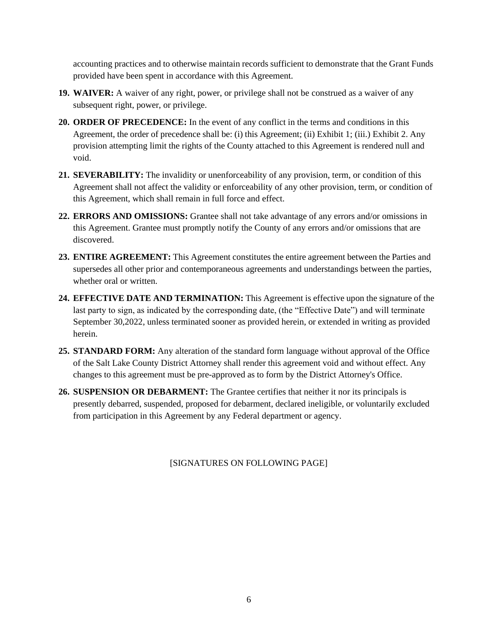accounting practices and to otherwise maintain records sufficient to demonstrate that the Grant Funds provided have been spent in accordance with this Agreement.

- **19. WAIVER:** A waiver of any right, power, or privilege shall not be construed as a waiver of any subsequent right, power, or privilege.
- **20. ORDER OF PRECEDENCE:** In the event of any conflict in the terms and conditions in this Agreement, the order of precedence shall be: (i) this Agreement; (ii) Exhibit 1; (iii.) Exhibit 2. Any provision attempting limit the rights of the County attached to this Agreement is rendered null and void.
- **21. SEVERABILITY:** The invalidity or unenforceability of any provision, term, or condition of this Agreement shall not affect the validity or enforceability of any other provision, term, or condition of this Agreement, which shall remain in full force and effect.
- **22. ERRORS AND OMISSIONS:** Grantee shall not take advantage of any errors and/or omissions in this Agreement. Grantee must promptly notify the County of any errors and/or omissions that are discovered.
- **23. ENTIRE AGREEMENT:** This Agreement constitutes the entire agreement between the Parties and supersedes all other prior and contemporaneous agreements and understandings between the parties, whether oral or written.
- **24. EFFECTIVE DATE AND TERMINATION:** This Agreement is effective upon the signature of the last party to sign, as indicated by the corresponding date, (the "Effective Date") and will terminate September 30,2022, unless terminated sooner as provided herein, or extended in writing as provided herein.
- **25. STANDARD FORM:** Any alteration of the standard form language without approval of the Office of the Salt Lake County District Attorney shall render this agreement void and without effect. Any changes to this agreement must be pre-approved as to form by the District Attorney's Office.
- **26. SUSPENSION OR DEBARMENT:** The Grantee certifies that neither it nor its principals is presently debarred, suspended, proposed for debarment, declared ineligible, or voluntarily excluded from participation in this Agreement by any Federal department or agency.

[SIGNATURES ON FOLLOWING PAGE]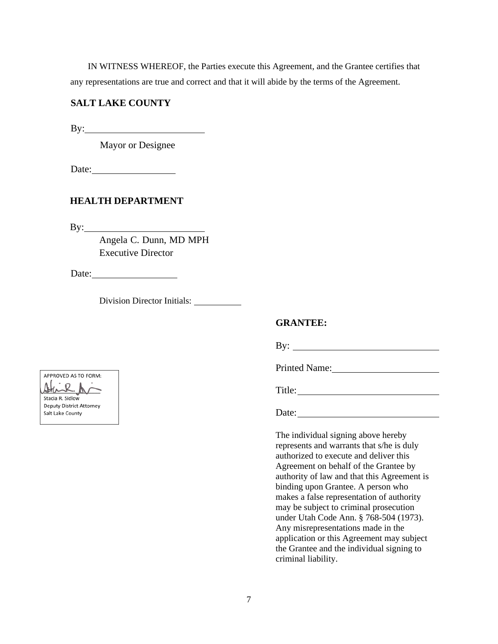IN WITNESS WHEREOF, the Parties execute this Agreement, and the Grantee certifies that any representations are true and correct and that it will abide by the terms of the Agreement.

## **SALT LAKE COUNTY**

By:

Mayor or Designee

Date:

## **HEALTH DEPARTMENT**

By:

Angela C. Dunn, MD MPH Executive Director

Date:

Division Director Initials:

#### **GRANTEE:**

By:

Printed Name:

Title:

Date:

The individual signing above hereby represents and warrants that s/he is duly authorized to execute and deliver this Agreement on behalf of the Grantee by authority of law and that this Agreement is binding upon Grantee. A person who makes a false representation of authority may be subject to criminal prosecution under Utah Code Ann. § 768-504 (1973). Any misrepresentations made in the application or this Agreement may subject the Grantee and the individual signing to criminal liability.

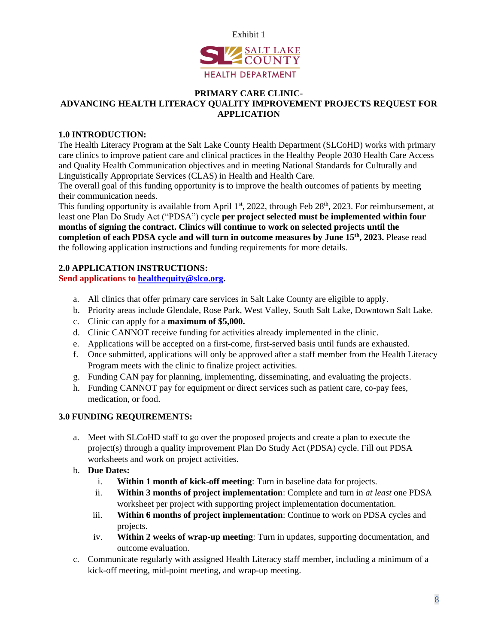

#### **PRIMARY CARE CLINIC-ADVANCING HEALTH LITERACY QUALITY IMPROVEMENT PROJECTS REQUEST FOR APPLICATION**

## **1.0 INTRODUCTION:**

The Health Literacy Program at the Salt Lake County Health Department (SLCoHD) works with primary care clinics to improve patient care and clinical practices in the Healthy People 2030 Health Care Access and Quality Health Communication objectives and in meeting National Standards for Culturally and Linguistically Appropriate Services (CLAS) in Health and Health Care.

The overall goal of this funding opportunity is to improve the health outcomes of patients by meeting their communication needs.

This funding opportunity is available from April  $1<sup>st</sup>$ , 2022, through Feb 28<sup>th</sup>, 2023. For reimbursement, at least one Plan Do Study Act ("PDSA") cycle **per project selected must be implemented within four months of signing the contract. Clinics will continue to work on selected projects until the completion of each PDSA cycle and will turn in outcome measures by June 15th, 2023.** Please read the following application instructions and funding requirements for more details.

#### **2.0 APPLICATION INSTRUCTIONS:**

**Send applications to [healthequity@slco.org.](mailto:healthequity@slco.org)**

- a. All clinics that offer primary care services in Salt Lake County are eligible to apply.
- b. Priority areas include Glendale, Rose Park, West Valley, South Salt Lake, Downtown Salt Lake.
- c. Clinic can apply for a **maximum of \$5,000.**
- d. Clinic CANNOT receive funding for activities already implemented in the clinic.
- e. Applications will be accepted on a first-come, first-served basis until funds are exhausted.
- f. Once submitted, applications will only be approved after a staff member from the Health Literacy Program meets with the clinic to finalize project activities.
- g. Funding CAN pay for planning, implementing, disseminating, and evaluating the projects.
- h. Funding CANNOT pay for equipment or direct services such as patient care, co-pay fees, medication, or food.

## **3.0 FUNDING REQUIREMENTS:**

- a. Meet with SLCoHD staff to go over the proposed projects and create a plan to execute the project(s) through a quality improvement Plan Do Study Act (PDSA) cycle. Fill out PDSA worksheets and work on project activities.
- b. **Due Dates:** 
	- i. **Within 1 month of kick-off meeting**: Turn in baseline data for projects.
	- ii. **Within 3 months of project implementation**: Complete and turn in *at least* one PDSA worksheet per project with supporting project implementation documentation.
	- iii. **Within 6 months of project implementation**: Continue to work on PDSA cycles and projects.
	- iv. **Within 2 weeks of wrap-up meeting**: Turn in updates, supporting documentation, and outcome evaluation.
- c. Communicate regularly with assigned Health Literacy staff member, including a minimum of a kick-off meeting, mid-point meeting, and wrap-up meeting.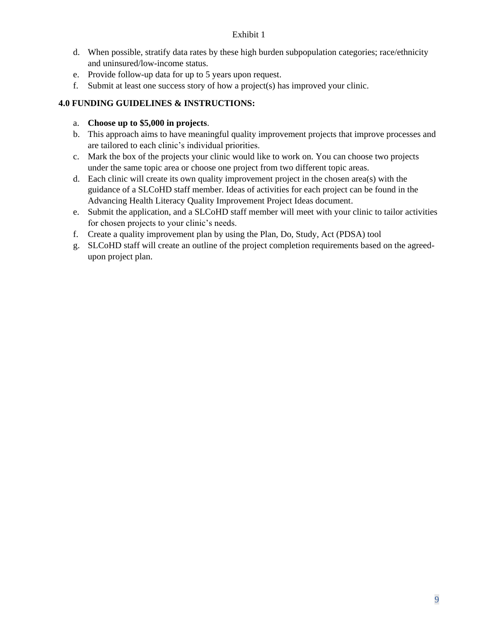#### Exhibit 1

- d. When possible, stratify data rates by these high burden subpopulation categories; race/ethnicity and uninsured/low-income status.
- e. Provide follow-up data for up to 5 years upon request.
- f. Submit at least one success story of how a project(s) has improved your clinic.

## **4.0 FUNDING GUIDELINES & INSTRUCTIONS:**

## a. **Choose up to \$5,000 in projects**.

- b. This approach aims to have meaningful quality improvement projects that improve processes and are tailored to each clinic's individual priorities.
- c. Mark the box of the projects your clinic would like to work on. You can choose two projects under the same topic area or choose one project from two different topic areas.
- d. Each clinic will create its own quality improvement project in the chosen area(s) with the guidance of a SLCoHD staff member. Ideas of activities for each project can be found in the Advancing Health Literacy Quality Improvement Project Ideas document.
- e. Submit the application, and a SLCoHD staff member will meet with your clinic to tailor activities for chosen projects to your clinic's needs.
- f. Create a quality improvement plan by using the Plan, Do, Study, Act (PDSA) tool
- g. SLCoHD staff will create an outline of the project completion requirements based on the agreedupon project plan.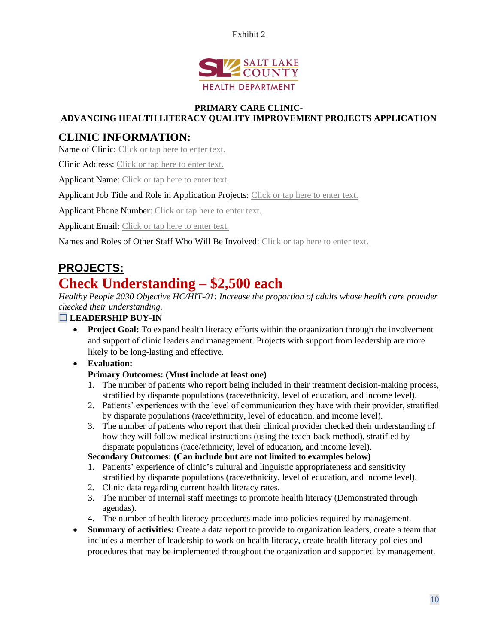



#### **PRIMARY CARE CLINIC-ADVANCING HEALTH LITERACY QUALITY IMPROVEMENT PROJECTS APPLICATION**

## **CLINIC INFORMATION:**

Name of Clinic: Click or tap here to enter text.

Clinic Address: Click or tap here to enter text.

Applicant Name: Click or tap here to enter text.

Applicant Job Title and Role in Application Projects: Click or tap here to enter text.

Applicant Phone Number: Click or tap here to enter text.

Applicant Email: Click or tap here to enter text.

Names and Roles of Other Staff Who Will Be Involved: Click or tap here to enter text.

## **PROJECTS:**

# **Check Understanding – \$2,500 each**

*Healthy People 2030 Objective HC/HIT-01: Increase the proportion of adults whose health care provider checked their understanding.*

## ☐ **LEADERSHIP BUY-IN**

• **Project Goal:** To expand health literacy efforts within the organization through the involvement and support of clinic leaders and management. Projects with support from leadership are more likely to be long-lasting and effective.

• **Evaluation:**

## **Primary Outcomes: (Must include at least one)**

- 1. The number of patients who report being included in their treatment decision-making process, stratified by disparate populations (race/ethnicity, level of education, and income level).
- 2. Patients' experiences with the level of communication they have with their provider, stratified by disparate populations (race/ethnicity, level of education, and income level).
- 3. The number of patients who report that their clinical provider checked their understanding of how they will follow medical instructions (using the teach-back method), stratified by disparate populations (race/ethnicity, level of education, and income level).

## **Secondary Outcomes: (Can include but are not limited to examples below)**

- 1. Patients' experience of clinic's cultural and linguistic appropriateness and sensitivity stratified by disparate populations (race/ethnicity, level of education, and income level).
- 2. Clinic data regarding current health literacy rates.
- 3. The number of internal staff meetings to promote health literacy (Demonstrated through agendas).
- 4. The number of health literacy procedures made into policies required by management.
- **Summary of activities:** Create a data report to provide to organization leaders, create a team that includes a member of leadership to work on health literacy, create health literacy policies and procedures that may be implemented throughout the organization and supported by management.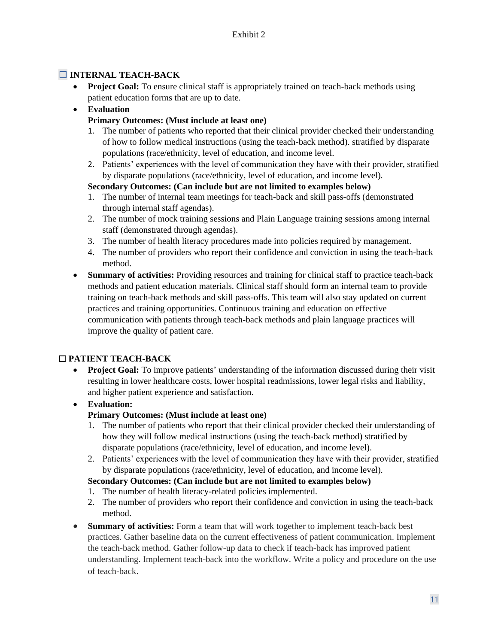## ☐ **INTERNAL TEACH-BACK**

• **Project Goal:** To ensure clinical staff is appropriately trained on teach-back methods using patient education forms that are up to date.

## • **Evaluation**

## **Primary Outcomes: (Must include at least one)**

- 1. The number of patients who reported that their clinical provider checked their understanding of how to follow medical instructions (using the teach-back method). stratified by disparate populations (race/ethnicity, level of education, and income level.
- 2. Patients' experiences with the level of communication they have with their provider, stratified by disparate populations (race/ethnicity, level of education, and income level).

## **Secondary Outcomes: (Can include but are not limited to examples below)**

- 1. The number of internal team meetings for teach-back and skill pass-offs (demonstrated through internal staff agendas).
- 2. The number of mock training sessions and Plain Language training sessions among internal staff (demonstrated through agendas).
- 3. The number of health literacy procedures made into policies required by management.
- 4. The number of providers who report their confidence and conviction in using the teach-back method.
- **Summary of activities:** Providing resources and training for clinical staff to practice teach-back methods and patient education materials. Clinical staff should form an internal team to provide training on teach-back methods and skill pass-offs. This team will also stay updated on current practices and training opportunities. Continuous training and education on effective communication with patients through teach-back methods and plain language practices will improve the quality of patient care.

## ☐ **PATIENT TEACH-BACK**

**Project Goal:** To improve patients' understanding of the information discussed during their visit resulting in lower healthcare costs, lower hospital readmissions, lower legal risks and liability, and higher patient experience and satisfaction.

## • **Evaluation:**

## **Primary Outcomes: (Must include at least one)**

- 1. The number of patients who report that their clinical provider checked their understanding of how they will follow medical instructions (using the teach-back method) stratified by disparate populations (race/ethnicity, level of education, and income level).
- 2. Patients' experiences with the level of communication they have with their provider, stratified by disparate populations (race/ethnicity, level of education, and income level).

## **Secondary Outcomes: (Can include but are not limited to examples below)**

- 1. The number of health literacy-related policies implemented.
- 2. The number of providers who report their confidence and conviction in using the teach-back method.
- **Summary of activities:** Form a team that will work together to implement teach-back best practices. Gather baseline data on the current effectiveness of patient communication. Implement the teach-back method. Gather follow-up data to check if teach-back has improved patient understanding. Implement teach-back into the workflow. Write a policy and procedure on the use of teach-back.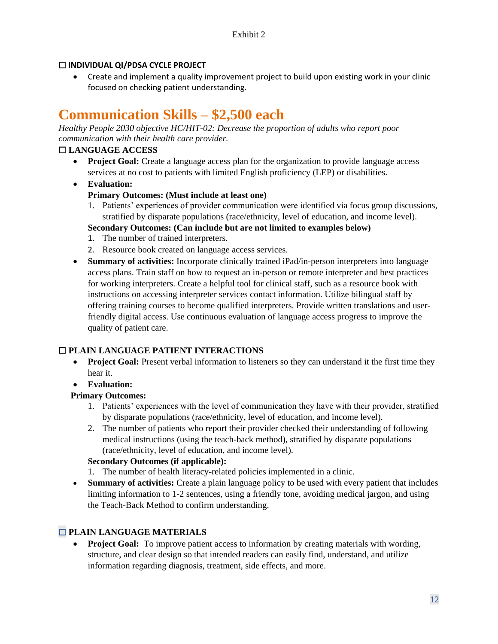## ☐ **INDIVIDUAL QI/PDSA CYCLE PROJECT**

• Create and implement a quality improvement project to build upon existing work in your clinic focused on checking patient understanding.

# **Communication Skills – \$2,500 each**

*Healthy People 2030 objective HC/HIT-02: Decrease the proportion of adults who report poor communication with their health care provider.* 

## ☐ **LANGUAGE ACCESS**

- **Project Goal:** Create a language access plan for the organization to provide language access services at no cost to patients with limited English proficiency (LEP) or disabilities.
- **Evaluation: Primary Outcomes: (Must include at least one)**
	- 1. Patients' experiences of provider communication were identified via focus group discussions, stratified by disparate populations (race/ethnicity, level of education, and income level).
	- **Secondary Outcomes: (Can include but are not limited to examples below)**
	- 1. The number of trained interpreters.
	- 2. Resource book created on language access services.
- **Summary of activities:** Incorporate clinically trained iPad/in-person interpreters into language access plans. Train staff on how to request an in-person or remote interpreter and best practices for working interpreters. Create a helpful tool for clinical staff, such as a resource book with instructions on accessing interpreter services contact information. Utilize bilingual staff by offering training courses to become qualified interpreters. Provide written translations and userfriendly digital access. Use continuous evaluation of language access progress to improve the quality of patient care.

## ☐ **PLAIN LANGUAGE PATIENT INTERACTIONS**

- **Project Goal:** Present verbal information to listeners so they can understand it the first time they hear it.
- **Evaluation:**

## **Primary Outcomes:**

- 1. Patients' experiences with the level of communication they have with their provider, stratified by disparate populations (race/ethnicity, level of education, and income level).
- 2. The number of patients who report their provider checked their understanding of following medical instructions (using the teach-back method), stratified by disparate populations (race/ethnicity, level of education, and income level).

## **Secondary Outcomes (if applicable):**

- 1. The number of health literacy-related policies implemented in a clinic.
- **Summary of activities:** Create a plain language policy to be used with every patient that includes limiting information to 1-2 sentences, using a friendly tone, avoiding medical jargon, and using the Teach-Back Method to confirm understanding.

## ☐ **PLAIN LANGUAGE MATERIALS**

• **Project Goal:** To improve patient access to information by creating materials with wording, structure, and clear design so that intended readers can easily find, understand, and utilize information regarding diagnosis, treatment, side effects, and more.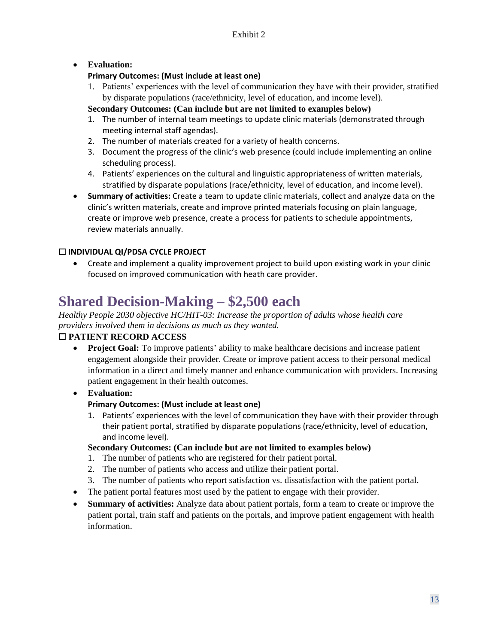## • **Evaluation:**

## **Primary Outcomes: (Must include at least one)**

1. Patients' experiences with the level of communication they have with their provider, stratified by disparate populations (race/ethnicity, level of education, and income level).

#### **Secondary Outcomes: (Can include but are not limited to examples below)**

- 1. The number of internal team meetings to update clinic materials (demonstrated through meeting internal staff agendas).
- 2. The number of materials created for a variety of health concerns.
- 3. Document the progress of the clinic's web presence (could include implementing an online scheduling process).
- 4. Patients' experiences on the cultural and linguistic appropriateness of written materials, stratified by disparate populations (race/ethnicity, level of education, and income level).
- **Summary of activities:** Create a team to update clinic materials, collect and analyze data on the clinic's written materials, create and improve printed materials focusing on plain language, create or improve web presence, create a process for patients to schedule appointments, review materials annually.

## ☐ **INDIVIDUAL QI/PDSA CYCLE PROJECT**

• Create and implement a quality improvement project to build upon existing work in your clinic focused on improved communication with heath care provider.

# **Shared Decision-Making – \$2,500 each**

## *Healthy People 2030 objective HC/HIT-03: Increase the proportion of adults whose health care providers involved them in decisions as much as they wanted.*

## ☐ **PATIENT RECORD ACCESS**

• **Project Goal:** To improve patients' ability to make healthcare decisions and increase patient engagement alongside their provider. Create or improve patient access to their personal medical information in a direct and timely manner and enhance communication with providers. Increasing patient engagement in their health outcomes.

## • **Evaluation:**

## **Primary Outcomes: (Must include at least one)**

1. Patients' experiences with the level of communication they have with their provider through their patient portal, stratified by disparate populations (race/ethnicity, level of education, and income level).

#### **Secondary Outcomes: (Can include but are not limited to examples below)**

- 1. The number of patients who are registered for their patient portal.
- 2. The number of patients who access and utilize their patient portal.
- 3. The number of patients who report satisfaction vs. dissatisfaction with the patient portal.
- The patient portal features most used by the patient to engage with their provider.
- **Summary of activities:** Analyze data about patient portals, form a team to create or improve the patient portal, train staff and patients on the portals, and improve patient engagement with health information.